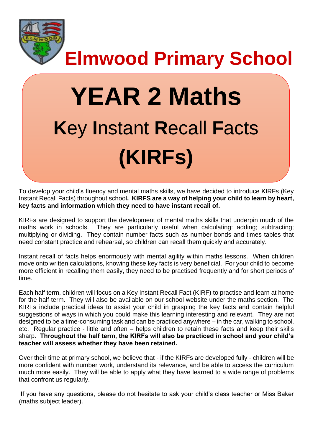

**Elmwood Primary School**

# **YEAR 2 Maths K**ey **I**nstant **R**ecall **F**acts **(KIRFs)**

To develop your child's fluency and mental maths skills, we have decided to introduce KIRFs (Key Instant Recall Facts) throughout school**. KIRFS are a way of helping your child to learn by heart, key facts and information which they need to have instant recall of.** 

KIRFs are designed to support the development of mental maths skills that underpin much of the maths work in schools. They are particularly useful when calculating: adding; subtracting; multiplying or dividing. They contain number facts such as number bonds and times tables that need constant practice and rehearsal, so children can recall them quickly and accurately.

Instant recall of facts helps enormously with mental agility within maths lessons. When children move onto written calculations, knowing these key facts is very beneficial. For your child to become more efficient in recalling them easily, they need to be practised frequently and for short periods of time.

Each half term, children will focus on a Key Instant Recall Fact (KIRF) to practise and learn at home for the half term. They will also be available on our school website under the maths section. The KIRFs include practical ideas to assist your child in grasping the key facts and contain helpful suggestions of ways in which you could make this learning interesting and relevant.They are not designed to be a time-consuming task and can be practiced anywhere – in the car, walking to school, etc. Regular practice - little and often – helps children to retain these facts and keep their skills sharp. **Throughout the half term, the KIRFs will also be practiced in school and your child's teacher will assess whether they have been retained.** 

Over their time at primary school, we believe that - if the KIRFs are developed fully - children will be more confident with number work, understand its relevance, and be able to access the curriculum much more easily. They will be able to apply what they have learned to a wide range of problems that confront us regularly.

If you have any questions, please do not hesitate to ask your child's class teacher or Miss Baker (maths subject leader).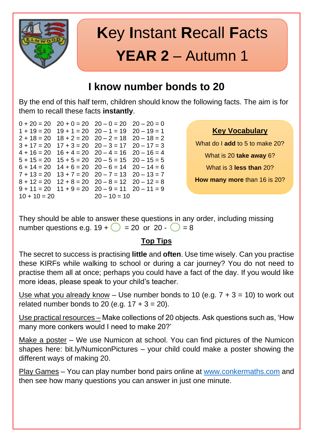

# **K**ey **I**nstant **R**ecall **F**acts **YEAR 2** – Autumn 1

### **I know number bonds to 20**

By the end of this half term, children should know the following facts. The aim is for them to recall these facts **instantly**.

 $0 + 20 = 20$   $20 + 0 = 20$   $20 - 0 = 20$   $20 - 20 = 0$  $1 + 19 = 20$   $19 + 1 = 20$   $20 - 1 = 19$   $20 - 19 = 1$  $2 + 18 = 20$   $18 + 2 = 20$   $20 - 2 = 18$   $20 - 18 = 2$  $3 + 17 = 20$   $17 + 3 = 20$   $20 - 3 = 17$   $20 - 17 = 3$  $4 + 16 = 20$   $16 + 4 = 20$   $20 - 4 = 16$   $20 - 16 = 4$  $5 + 15 = 20$   $15 + 5 = 20$   $20 - 5 = 15$   $20 - 15 = 5$  $6 + 14 = 20$   $14 + 6 = 20$   $20 - 6 = 14$   $20 - 14 = 6$  $7 + 13 = 20$   $13 + 7 = 20$   $20 - 7 = 13$   $20 - 13 = 7$  $8 + 12 = 20$   $12 + 8 = 20$   $20 - 8 = 12$   $20 - 12 = 8$  $9 + 11 = 20$   $11 + 9 = 20$   $20 - 9 = 11$   $20 - 11 = 9$  $10 + 10 = 20$   $20 - 10 = 10$ 

**Key Vocabulary**

What do I **add** to 5 to make 20? What is 20 **take away** 6? What is 3 **less than** 20?

**How many more** than 16 is 20?

They should be able to answer these questions in any order, including missing number questions e.g.  $19 + \bigcirc = 20$  or  $20 - \bigcirc = 8$ 

#### **Top Tips**

The secret to success is practising **little** and **often**. Use time wisely. Can you practise these KIRFs while walking to school or during a car journey? You do not need to practise them all at once; perhaps you could have a fact of the day. If you would like more ideas, please speak to your child's teacher.

Use what you already know – Use number bonds to 10 (e.g.  $7 + 3 = 10$ ) to work out related number bonds to 20 (e.g.  $17 + 3 = 20$ ).

Use practical resources – Make collections of 20 objects. Ask questions such as, 'How many more conkers would I need to make 20?'

Make a poster - We use Numicon at school. You can find pictures of the Numicon shapes here: bit.ly/NumiconPictures – your child could make a poster showing the different ways of making 20.

Play Games – You can play number bond pairs online at [www.conkermaths.com](http://www.conkermaths.com/) and then see how many questions you can answer in just one minute.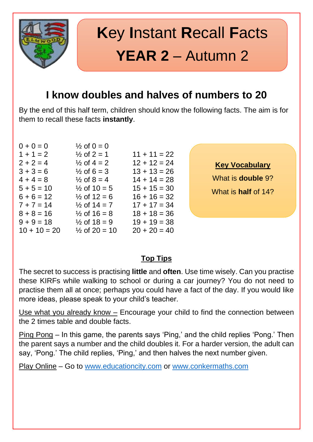

## **K**ey **I**nstant **R**ecall **F**acts **YEAR 2** – Autumn 2

### **I know doubles and halves of numbers to 20**

By the end of this half term, children should know the following facts. The aim is for them to recall these facts **instantly**.

| $0 + 0 = 0$    | $\frac{1}{2}$ of 0 = 0   |                |
|----------------|--------------------------|----------------|
| $1 + 1 = 2$    | $\frac{1}{2}$ of 2 = 1   | $11 + 11 = 22$ |
| $2 + 2 = 4$    | $\frac{1}{2}$ of 4 = 2   | $12 + 12 = 24$ |
| $3 + 3 = 6$    | $\frac{1}{2}$ of 6 = 3   | $13 + 13 = 26$ |
| $4 + 4 = 8$    | $\frac{1}{2}$ of 8 = 4   | $14 + 14 = 28$ |
| $5 + 5 = 10$   | $\frac{1}{2}$ of 10 = 5  | $15 + 15 = 30$ |
| $6 + 6 = 12$   | $\frac{1}{2}$ of 12 = 6  | $16 + 16 = 32$ |
| $7 + 7 = 14$   | $\frac{1}{2}$ of 14 = 7  | $17 + 17 = 34$ |
| $8 + 8 = 16$   | $\frac{1}{2}$ of 16 = 8  | $18 + 18 = 36$ |
| $9 + 9 = 18$   | $\frac{1}{2}$ of 18 = 9  | $19 + 19 = 38$ |
| $10 + 10 = 20$ | $\frac{1}{2}$ of 20 = 10 | $20 + 20 = 40$ |

**Key Vocabulary**

What is **double** 9? What is **half** of 14?

#### **Top Tips**

The secret to success is practising **little** and **often**. Use time wisely. Can you practise these KIRFs while walking to school or during a car journey? You do not need to practise them all at once; perhaps you could have a fact of the day. If you would like more ideas, please speak to your child's teacher.

Use what you already know – Encourage your child to find the connection between the 2 times table and double facts.

Ping Pong – In this game, the parents says 'Ping,' and the child replies 'Pong.' Then the parent says a number and the child doubles it. For a harder version, the adult can say, 'Pong.' The child replies, 'Ping,' and then halves the next number given.

Play Online – Go to [www.educationcity.com](http://www.educationcity.com/) or [www.conkermaths.com](http://www.conkermaths.com/)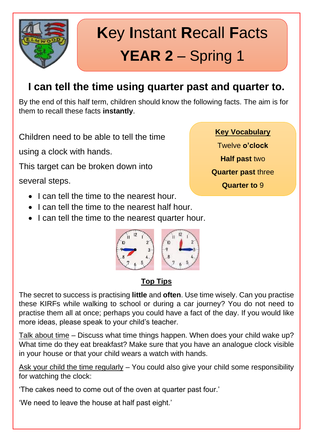

# **K**ey **I**nstant **R**ecall **F**acts **YEAR 2** – Spring 1

### **I can tell the time using quarter past and quarter to.**

By the end of this half term, children should know the following facts. The aim is for them to recall these facts **instantly**.

Children need to be able to tell the time

using a clock with hands.

This target can be broken down into

several steps.

- I can tell the time to the nearest hour.
- I can tell the time to the nearest half hour.
- I can tell the time to the nearest quarter hour.



### **Top Tips**

The secret to success is practising **little** and **often**. Use time wisely. Can you practise these KIRFs while walking to school or during a car journey? You do not need to practise them all at once; perhaps you could have a fact of the day. If you would like more ideas, please speak to your child's teacher.

Talk about time – Discuss what time things happen. When does your child wake up? What time do they eat breakfast? Make sure that you have an analogue clock visible in your house or that your child wears a watch with hands.

Ask your child the time regularly – You could also give your child some responsibility for watching the clock:

'The cakes need to come out of the oven at quarter past four.'

'We need to leave the house at half past eight.'

- **Key Vocabulary** Twelve **o'clock**
- **Half past** two
- **Quarter past** three
	- **Quarter to** 9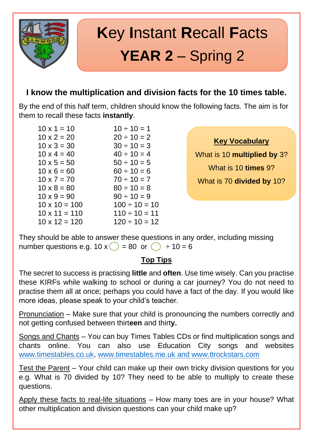

# **K**ey **I**nstant **R**ecall **F**acts **YEAR 2** – Spring 2

### **I know the multiplication and division facts for the 10 times table.**

By the end of this half term, children should know the following facts. The aim is for them to recall these facts **instantly**.

 $10 \times 12 = 120$   $120 \div 10 = 12$ 

 $10 \times 1 = 10$   $10 \div 10 = 1$  $10 \times 2 = 20$   $20 \div 10 = 2$  $10 \times 3 = 30$   $30 \div 10 = 3$  $10 \times 4 = 40$   $40 \div 10 = 4$  $10 \times 5 = 50$   $50 \div 10 = 5$  $10 \times 6 = 60$  60 ÷ 10 = 6  $10 \times 7 = 70$   $70 \div 10 = 7$  $10 \times 8 = 80$   $80 \div 10 = 8$  $10 \times 9 = 90$   $90 \div 10 = 9$  $10 \times 10 = 100$   $100 \div 10 = 10$  $10 \times 11 = 110$   $110 \div 10 = 11$ 

#### **Key Vocabulary**

What is 10 **multiplied by** 3? What is 10 **times** 9? What is 70 **divided by** 10?

They should be able to answer these questions in any order, including missing number questions e.g.  $10 \times \bigcirc$  = 80 or  $\bigcirc$  ÷ 10 = 6

#### **Top Tips**

The secret to success is practising **little** and **often**. Use time wisely. Can you practise these KIRFs while walking to school or during a car journey? You do not need to practise them all at once; perhaps you could have a fact of the day. If you would like more ideas, please speak to your child's teacher.

Pronunciation – Make sure that your child is pronouncing the numbers correctly and not getting confused between thirt**een** and thirt**y.**

Songs and Chants – You can buy Times Tables CDs or find multiplication songs and chants online. You can also use Education City songs and websites [www.timestables.co.uk,](http://www.timestables.co.uk/) [www.timestables.me.uk](http://www.timestables.me.uk/) and www.ttrockstars.com

Test the Parent – Your child can make up their own tricky division questions for you e.g. What is 70 divided by 10? They need to be able to multiply to create these questions.

Apply these facts to real-life situations – How many toes are in your house? What other multiplication and division questions can your child make up?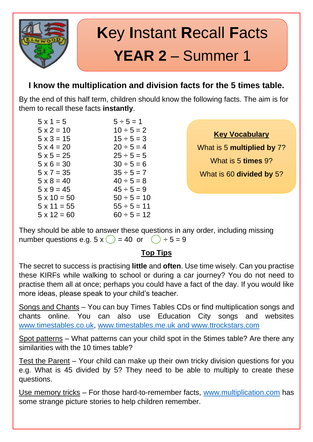

## **K**ey **I**nstant **R**ecall **F**acts **YEAR 2** – Summer 1

### **I know the multiplication and division facts for the 5 times table.**

By the end of this half term, children should know the following facts. The aim is for them to recall these facts **instantly**.

 $5 \times 1 = 5$   $5 \div 5 = 1$  $5 \times 2 = 10$   $10 \div 5 = 2$  $5 \times 3 = 15$   $15 \div 5 = 3$  $5 \times 4 = 20$   $20 \div 5 = 4$  $5 \times 5 = 25$  25 ÷ 5 = 5  $5 \times 6 = 30$   $30 \div 5 = 6$  $5 \times 7 = 35$   $35 \div 5 = 7$  $5 \times 8 = 40$   $40 \div 5 = 8$  $5 \times 9 = 45$   $45 \div 5 = 9$  $5 \times 10 = 50$   $50 \div 5 = 10$  $5 \times 11 = 55$   $55 \div 5 = 11$  $5 \times 12 = 60$   $60 \div 5 = 12$ 

**Key Vocabulary**

What is 5 **multiplied by** 7? What is 5 **times** 9? What is 60 **divided by** 5?

They should be able to answer these questions in any order, including missing number questions e.g.  $5 \times \binom{1}{2} = 40$  or  $\binom{1}{2} \div 5 = 9$ 

#### **Top Tips**

The secret to success is practising **little** and **often**. Use time wisely. Can you practise these KIRFs while walking to school or during a car journey? You do not need to practise them all at once; perhaps you could have a fact of the day. If you would like more ideas, please speak to your child's teacher.

Songs and Chants – You can buy Times Tables CDs or find multiplication songs and chants online. You can also use Education City songs and websites [www.timestables.co.uk,](http://www.timestables.co.uk/) [www.timestables.me.uk](http://www.timestables.me.uk/) and www.ttrockstars.com

Spot patterns – What patterns can your child spot in the 5times table? Are there any similarities with the 10 times table?

Test the Parent – Your child can make up their own tricky division questions for you e.g. What is 45 divided by 5? They need to be able to multiply to create these questions.

Use memory tricks – For those hard-to-remember facts, [www.multiplication.com](http://www.multiplication.com/) has some strange picture stories to help children remember.